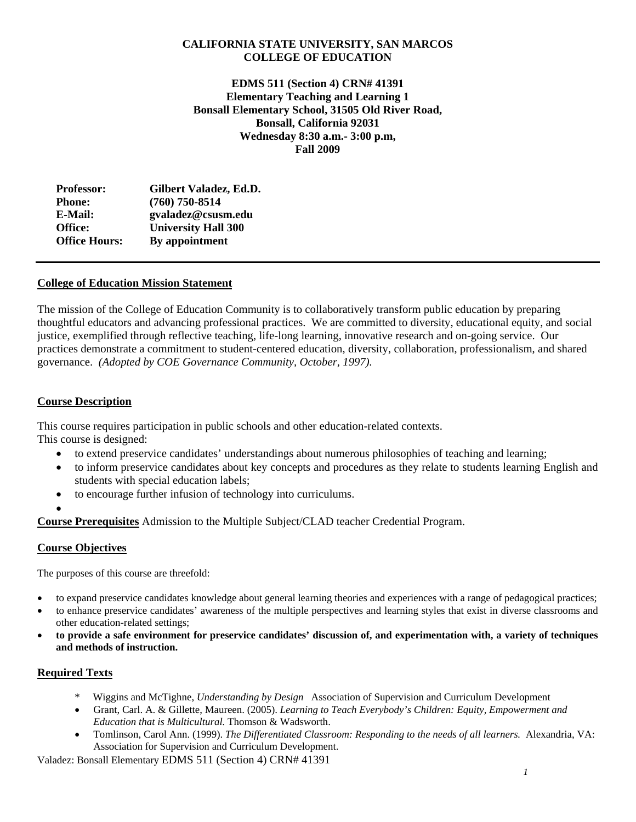# **CALIFORNIA STATE UNIVERSITY, SAN MARCOS COLLEGE OF EDUCATION**

**EDMS 511 (Section 4) CRN# 41391 Elementary Teaching and Learning 1 Bonsall Elementary School, 31505 Old River Road, Bonsall, California 92031 Wednesday 8:30 a.m.- 3:00 p.m, Fall 2009**

| <b>Professor:</b>    | Gilbert Valadez, Ed.D.     |
|----------------------|----------------------------|
| <b>Phone:</b>        | $(760)$ 750-8514           |
| E-Mail:              | gvaladez@csusm.edu         |
| Office:              | <b>University Hall 300</b> |
| <b>Office Hours:</b> | By appointment             |

# **College of Education Mission Statement**

The mission of the College of Education Community is to collaboratively transform public education by preparing thoughtful educators and advancing professional practices. We are committed to diversity, educational equity, and social justice, exemplified through reflective teaching, life-long learning, innovative research and on-going service. Our practices demonstrate a commitment to student-centered education, diversity, collaboration, professionalism, and shared governance. *(Adopted by COE Governance Community, October, 1997).* 

# **Course Description**

This course requires participation in public schools and other education-related contexts. This course is designed:

- to extend preservice candidates' understandings about numerous philosophies of teaching and learning;
- to inform preservice candidates about key concepts and procedures as they relate to students learning English and students with special education labels;
- to encourage further infusion of technology into curriculums.
- •

**Course Prerequisites** Admission to the Multiple Subject/CLAD teacher Credential Program.

# **Course Objectives**

The purposes of this course are threefold:

- to expand preservice candidates knowledge about general learning theories and experiences with a range of pedagogical practices;
- to enhance preservice candidates' awareness of the multiple perspectives and learning styles that exist in diverse classrooms and other education-related settings;
- • **to provide a safe environment for preservice candidates' discussion of, and experimentation with, a variety of techniques and methods of instruction.**

# **Required Texts**

- \* Wiggins and McTighne, *Understanding by Design* Association of Supervision and Curriculum Development
- *Education that is Multicultural.* Thomson & Wadsworth. Grant, Carl. A. & Gillette, Maureen. (2005). *Learning to Teach Everybody's Children: Equity, Empowerment and*
- Association for Supervision and Curriculum Development. Tomlinson, Carol Ann. (1999). *The Differentiated Classroom: Responding to the needs of all learners.* Alexandria, VA: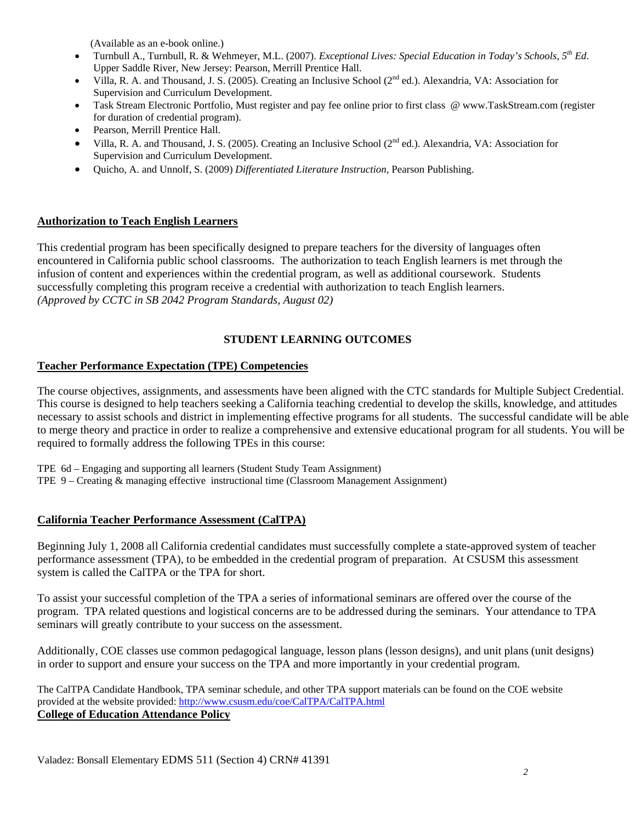(Available as an e-book online.)

- Turnbull A., Turnbull, R. & Wehmeyer, M.L. (2007). *Exceptional Lives: Special Education in Today's Schools, 5<sup>th</sup> Ed.* Upper Saddle River, New Jersey: Pearson, Merrill Prentice Hall.
- Supervision and Curriculum Development. Villa, R. A. and Thousand, J. S. (2005). Creating an Inclusive School (2<sup>nd</sup> ed.). Alexandria, VA: Association for
- Task Stream Electronic Portfolio, Must register and pay fee online prior to first class @ www.TaskStream.com (register for duration of credential program).
- Pearson, Merrill Prentice Hall.
- Villa, R. A. and Thousand, J. S. (2005). Creating an Inclusive School (2<sup>nd</sup> ed.). Alexandria, VA: Association for Supervision and Curriculum Development.
- • Quicho, A. and Unnolf, S. (2009) *Differentiated Literature Instruction,* Pearson Publishing.

# **Authorization to Teach English Learners**

This credential program has been specifically designed to prepare teachers for the diversity of languages often encountered in California public school classrooms. The authorization to teach English learners is met through the infusion of content and experiences within the credential program, as well as additional coursework. Students successfully completing this program receive a credential with authorization to teach English learners. *(Approved by CCTC in SB 2042 Program Standards, August 02)* 

# **STUDENT LEARNING OUTCOMES**

# **Teacher Performance Expectation (TPE) Competencies**

The course objectives, assignments, and assessments have been aligned with the CTC standards for Multiple Subject Credential. This course is designed to help teachers seeking a California teaching credential to develop the skills, knowledge, and attitudes necessary to assist schools and district in implementing effective programs for all students. The successful candidate will be able to merge theory and practice in order to realize a comprehensive and extensive educational program for all students. You will be required to formally address the following TPEs in this course:

 TPE 6d – Engaging and supporting all learners (Student Study Team Assignment) TPE 9 – Creating & managing effective instructional time (Classroom Management Assignment)

# **California Teacher Performance Assessment (CalTPA)**

Beginning July 1, 2008 all California credential candidates must successfully complete a state-approved system of teacher performance assessment (TPA), to be embedded in the credential program of preparation. At CSUSM this assessment system is called the CalTPA or the TPA for short.

seminars will greatly contribute to your success on the assessment. To assist your successful completion of the TPA a series of informational seminars are offered over the course of the program. TPA related questions and logistical concerns are to be addressed during the seminars. Your attendance to TPA

Additionally, COE classes use common pedagogical language, lesson plans (lesson designs), and unit plans (unit designs) in order to support and ensure your success on the TPA and more importantly in your credential program.

The CalTPA Candidate Handbook, TPA seminar schedule, and other TPA support materials can be found on the COE website provided at the website provided: http://www.csusm.edu/coe/CalTPA/CalTPA.html **College of Education Attendance Policy**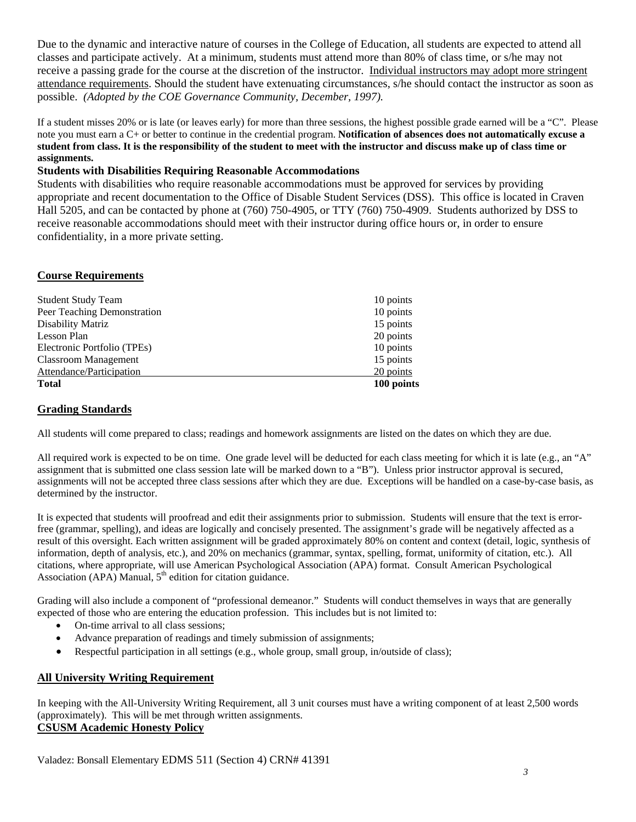possible. *(Adopted by the COE Governance Community, December, 1997).* Due to the dynamic and interactive nature of courses in the College of Education, all students are expected to attend all classes and participate actively. At a minimum, students must attend more than 80% of class time, or s/he may not receive a passing grade for the course at the discretion of the instructor. Individual instructors may adopt more stringent attendance requirements. Should the student have extenuating circumstances, s/he should contact the instructor as soon as

 If a student misses 20% or is late (or leaves early) for more than three sessions, the highest possible grade earned will be a "C". Please note you must earn a C+ or better to continue in the credential program. **Notification of absences does not automatically excuse a student from class. It is the responsibility of the student to meet with the instructor and discuss make up of class time or assignments.** 

# **Students with Disabilities Requiring Reasonable Accommodations**

Students with disabilities who require reasonable accommodations must be approved for services by providing appropriate and recent documentation to the Office of Disable Student Services (DSS). This office is located in Craven Hall 5205, and can be contacted by phone at (760) 750-4905, or TTY (760) 750-4909. Students authorized by DSS to receive reasonable accommodations should meet with their instructor during office hours or, in order to ensure confidentiality, in a more private setting.

## **Course Requirements**

| <b>Student Study Team</b>   | 10 points  |
|-----------------------------|------------|
| Peer Teaching Demonstration | 10 points  |
| Disability Matriz           | 15 points  |
| Lesson Plan                 | 20 points  |
| Electronic Portfolio (TPEs) | 10 points  |
| <b>Classroom Management</b> | 15 points  |
| Attendance/Participation    | 20 points  |
| <b>Total</b>                | 100 points |

## **Grading Standards**

All students will come prepared to class; readings and homework assignments are listed on the dates on which they are due.

All required work is expected to be on time. One grade level will be deducted for each class meeting for which it is late (e.g., an "A" assignment that is submitted one class session late will be marked down to a "B"). Unless prior instructor approval is secured, assignments will not be accepted three class sessions after which they are due. Exceptions will be handled on a case-by-case basis, as determined by the instructor.

 It is expected that students will proofread and edit their assignments prior to submission. Students will ensure that the text is error- information, depth of analysis, etc.), and 20% on mechanics (grammar, syntax, spelling, format, uniformity of citation, etc.). All free (grammar, spelling), and ideas are logically and concisely presented. The assignment's grade will be negatively affected as a result of this oversight. Each written assignment will be graded approximately 80% on content and context (detail, logic, synthesis of citations, where appropriate, will use American Psychological Association (APA) format. Consult American Psychological Association (APA) Manual,  $5<sup>th</sup>$  edition for citation guidance.

Grading will also include a component of "professional demeanor." Students will conduct themselves in ways that are generally expected of those who are entering the education profession. This includes but is not limited to:

- On-time arrival to all class sessions;
- Advance preparation of readings and timely submission of assignments;
- Respectful participation in all settings (e.g., whole group, small group, in/outside of class);

# **All University Writing Requirement**

 (approximately). This will be met through written assignments. In keeping with the All-University Writing Requirement, all 3 unit courses must have a writing component of at least 2,500 words **CSUSM Academic Honesty Policy**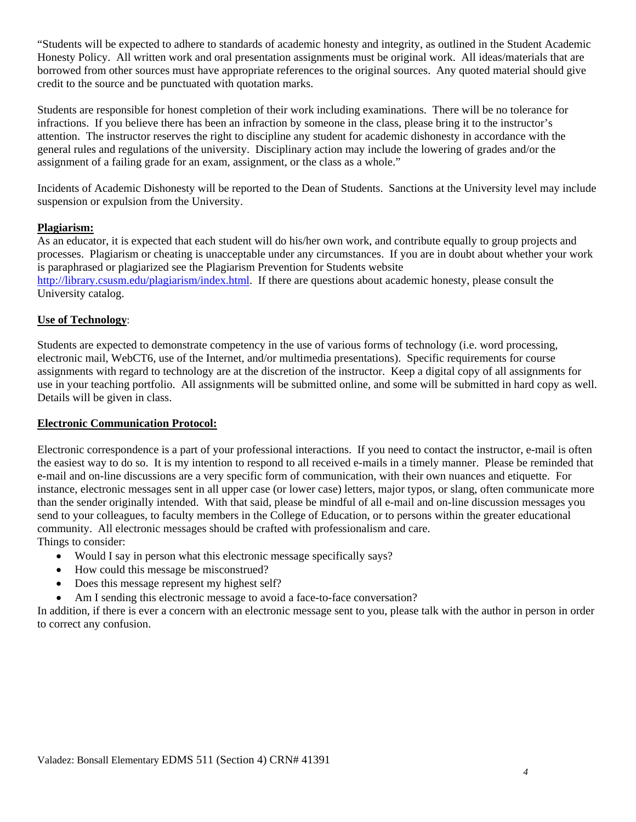"Students will be expected to adhere to standards of academic honesty and integrity, as outlined in the Student Academic Honesty Policy. All written work and oral presentation assignments must be original work. All ideas/materials that are borrowed from other sources must have appropriate references to the original sources. Any quoted material should give credit to the source and be punctuated with quotation marks.

Students are responsible for honest completion of their work including examinations. There will be no tolerance for infractions. If you believe there has been an infraction by someone in the class, please bring it to the instructor's attention. The instructor reserves the right to discipline any student for academic dishonesty in accordance with the general rules and regulations of the university. Disciplinary action may include the lowering of grades and/or the assignment of a failing grade for an exam, assignment, or the class as a whole."

Incidents of Academic Dishonesty will be reported to the Dean of Students. Sanctions at the University level may include suspension or expulsion from the University.

# **Plagiarism:**

As an educator, it is expected that each student will do his/her own work, and contribute equally to group projects and processes. Plagiarism or cheating is unacceptable under any circumstances. If you are in doubt about whether your work is paraphrased or plagiarized see the Plagiarism Prevention for Students website http://library.csusm.edu/plagiarism/index.html. If there are questions about academic honesty, please consult the University catalog.

# **Use of Technology**:

Students are expected to demonstrate competency in the use of various forms of technology (i.e. word processing, electronic mail, WebCT6, use of the Internet, and/or multimedia presentations). Specific requirements for course assignments with regard to technology are at the discretion of the instructor. Keep a digital copy of all assignments for use in your teaching portfolio. All assignments will be submitted online, and some will be submitted in hard copy as well. Details will be given in class.

# **Electronic Communication Protocol:**

Electronic correspondence is a part of your professional interactions. If you need to contact the instructor, e-mail is often the easiest way to do so. It is my intention to respond to all received e-mails in a timely manner. Please be reminded that e-mail and on-line discussions are a very specific form of communication, with their own nuances and etiquette. For instance, electronic messages sent in all upper case (or lower case) letters, major typos, or slang, often communicate more than the sender originally intended. With that said, please be mindful of all e-mail and on-line discussion messages you send to your colleagues, to faculty members in the College of Education, or to persons within the greater educational community. All electronic messages should be crafted with professionalism and care. Things to consider:

- Would I say in person what this electronic message specifically says?
- How could this message be misconstrued?
- Does this message represent my highest self?
- Am I sending this electronic message to avoid a face-to-face conversation?

In addition, if there is ever a concern with an electronic message sent to you, please talk with the author in person in order to correct any confusion.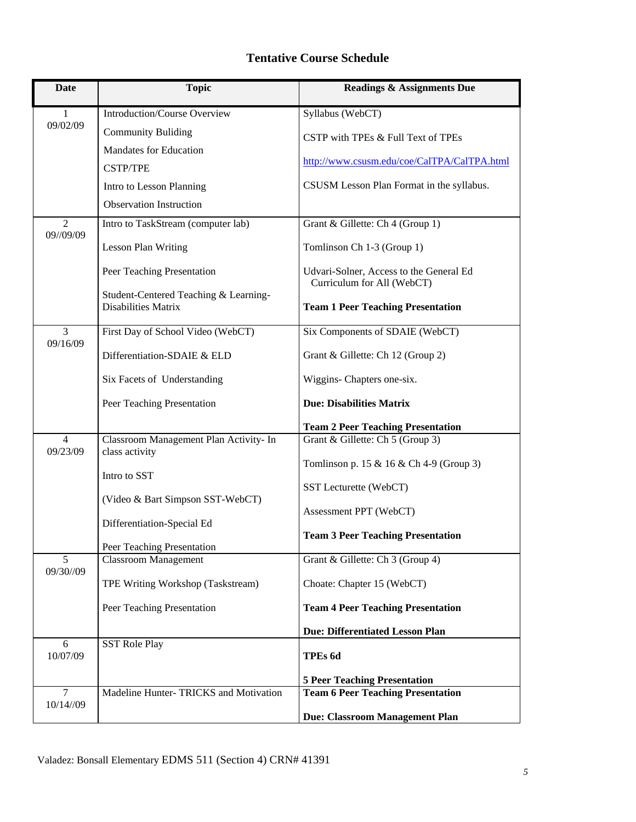# **Tentative Course Schedule**

| <b>Date</b>                 | <b>Topic</b>                                              | <b>Readings &amp; Assignments Due</b>                                 |
|-----------------------------|-----------------------------------------------------------|-----------------------------------------------------------------------|
| 1                           | Introduction/Course Overview                              | Syllabus (WebCT)                                                      |
| 09/02/09                    | <b>Community Buliding</b>                                 | CSTP with TPEs & Full Text of TPEs                                    |
|                             | Mandates for Education                                    |                                                                       |
|                             | <b>CSTP/TPE</b>                                           | http://www.csusm.edu/coe/CalTPA/CalTPA.html                           |
|                             | Intro to Lesson Planning                                  | CSUSM Lesson Plan Format in the syllabus.                             |
|                             | <b>Observation Instruction</b>                            |                                                                       |
| $\overline{2}$<br>09//09/09 | Intro to TaskStream (computer lab)                        | Grant & Gillette: Ch 4 (Group 1)                                      |
|                             | <b>Lesson Plan Writing</b>                                | Tomlinson Ch 1-3 (Group 1)                                            |
|                             | Peer Teaching Presentation                                | Udvari-Solner, Access to the General Ed<br>Curriculum for All (WebCT) |
|                             | Student-Centered Teaching & Learning-                     |                                                                       |
|                             | <b>Disabilities Matrix</b>                                | <b>Team 1 Peer Teaching Presentation</b>                              |
| 3                           | First Day of School Video (WebCT)                         | Six Components of SDAIE (WebCT)                                       |
| 09/16/09                    | Differentiation-SDAIE & ELD                               | Grant & Gillette: Ch 12 (Group 2)                                     |
|                             | Six Facets of Understanding                               | Wiggins- Chapters one-six.                                            |
|                             | Peer Teaching Presentation                                | <b>Due: Disabilities Matrix</b>                                       |
|                             |                                                           | <b>Team 2 Peer Teaching Presentation</b>                              |
| $\overline{4}$<br>09/23/09  | Classroom Management Plan Activity- In<br>class activity  | Grant & Gillette: Ch 5 (Group 3)                                      |
|                             |                                                           | Tomlinson p. 15 & 16 & Ch 4-9 (Group 3)                               |
|                             | Intro to SST                                              | SST Lecturette (WebCT)                                                |
|                             | (Video & Bart Simpson SST-WebCT)                          |                                                                       |
|                             | Differentiation-Special Ed                                | Assessment PPT (WebCT)                                                |
|                             |                                                           | <b>Team 3 Peer Teaching Presentation</b>                              |
| 5                           | Peer Teaching Presentation<br><b>Classroom Management</b> | Grant & Gillette: Ch 3 (Group 4)                                      |
| 09/30//09                   | TPE Writing Workshop (Taskstream)                         | Choate: Chapter 15 (WebCT)                                            |
|                             | Peer Teaching Presentation                                | <b>Team 4 Peer Teaching Presentation</b>                              |
|                             |                                                           | <b>Due: Differentiated Lesson Plan</b>                                |
| 6                           | <b>SST Role Play</b>                                      |                                                                       |
| 10/07/09                    |                                                           | TPEs 6d                                                               |
|                             |                                                           | <b>5 Peer Teaching Presentation</b>                                   |
| $\overline{7}$<br>10/14//09 | Madeline Hunter-TRICKS and Motivation                     | <b>Team 6 Peer Teaching Presentation</b>                              |
|                             |                                                           | Due: Classroom Management Plan                                        |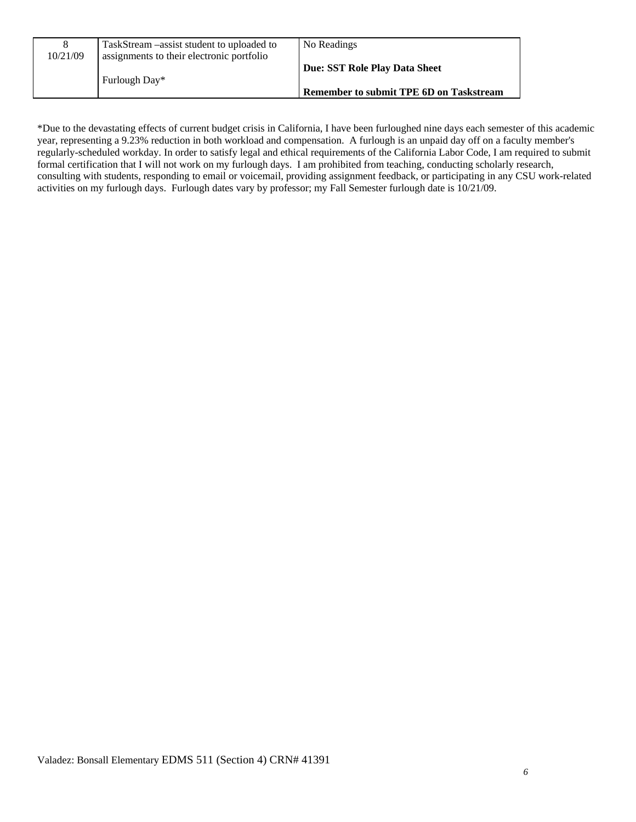| 10/21/09 | TaskStream – assist student to uploaded to<br>assignments to their electronic portfolio | No Readings                                                                     |
|----------|-----------------------------------------------------------------------------------------|---------------------------------------------------------------------------------|
|          | Furlough Day*                                                                           | Due: SST Role Play Data Sheet<br><b>Remember to submit TPE 6D on Taskstream</b> |

 regularly-scheduled workday. In order to satisfy legal and ethical requirements of the California Labor Code, I am required to submit \*Due to the devastating effects of current budget crisis in California, I have been furloughed nine days each semester of this academic year, representing a 9.23% reduction in both workload and compensation. A furlough is an unpaid day off on a faculty member's formal certification that I will not work on my furlough days. I am prohibited from teaching, conducting scholarly research, consulting with students, responding to email or voicemail, providing assignment feedback, or participating in any CSU work-related activities on my furlough days. Furlough dates vary by professor; my Fall Semester furlough date is 10/21/09.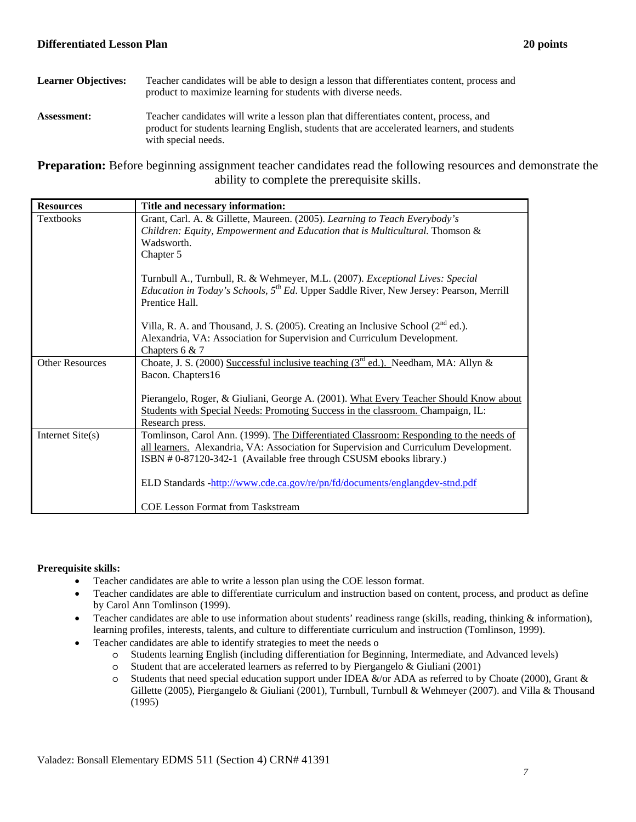# Learner Objectives: Teacher candidates will be able to design a lesson that differentiates content, process and product to maximize learning for students with diverse needs.

**Assessment:** Teacher candidates will write a lesson plan that differentiates content, process, and product for students learning English, students that are accelerated learners, and students with special needs.

**Preparation:** Before beginning assignment teacher candidates read the following resources and demonstrate the ability to complete the prerequisite skills.

| <b>Resources</b>       | Title and necessary information:                                                                                                                                                                                                                       |
|------------------------|--------------------------------------------------------------------------------------------------------------------------------------------------------------------------------------------------------------------------------------------------------|
| <b>Textbooks</b>       | Grant, Carl. A. & Gillette, Maureen. (2005). Learning to Teach Everybody's<br>Children: Equity, Empowerment and Education that is Multicultural. Thomson &<br>Wadsworth.<br>Chapter 5                                                                  |
|                        | Turnbull A., Turnbull, R. & Wehmeyer, M.L. (2007). Exceptional Lives: Special<br><i>Education in Today's Schools,</i> $5^{th}$ <i>Ed.</i> Upper Saddle River, New Jersey: Pearson, Merrill<br>Prentice Hall.                                           |
|                        | Villa, R. A. and Thousand, J. S. (2005). Creating an Inclusive School $(2^{nd}$ ed.).<br>Alexandria, VA: Association for Supervision and Curriculum Development.<br>Chapters 6 & 7                                                                     |
| <b>Other Resources</b> | Choate, J. S. (2000) Successful inclusive teaching ( $3rd$ ed.). Needham, MA: Allyn &<br>Bacon. Chapters16                                                                                                                                             |
|                        | Pierangelo, Roger, & Giuliani, George A. (2001). What Every Teacher Should Know about<br>Students with Special Needs: Promoting Success in the classroom. Champaign, IL:<br>Research press.                                                            |
| Internet $Site(s)$     | Tomlinson, Carol Ann. (1999). The Differentiated Classroom: Responding to the needs of<br>all learners. Alexandria, VA: Association for Supervision and Curriculum Development.<br>ISBN # 0-87120-342-1 (Available free through CSUSM ebooks library.) |
|                        | ELD Standards -http://www.cde.ca.gov/re/pn/fd/documents/englangdev-stnd.pdf                                                                                                                                                                            |
|                        | <b>COE Lesson Format from Taskstream</b>                                                                                                                                                                                                               |

## **Prerequisite skills:**

- Teacher candidates are able to write a lesson plan using the COE lesson format.
- • Teacher candidates are able to differentiate curriculum and instruction based on content, process, and product as define by Carol Ann Tomlinson (1999).
- Teacher candidates are able to use information about students' readiness range (skills, reading, thinking  $\&$  information), learning profiles, interests, talents, and culture to differentiate curriculum and instruction (Tomlinson, 1999).
- Teacher candidates are able to identify strategies to meet the needs o
	- o Students learning English (including differentiation for Beginning, Intermediate, and Advanced levels)
	- $\circ$  Student that are accelerated learners as referred to by Piergangelo & Giuliani (2001)
	- $\circ$  Students that need special education support under IDEA &/or ADA as referred to by Choate (2000), Grant & Gillette (2005), Piergangelo & Giuliani (2001), Turnbull, Turnbull & Wehmeyer (2007). and Villa & Thousand (1995)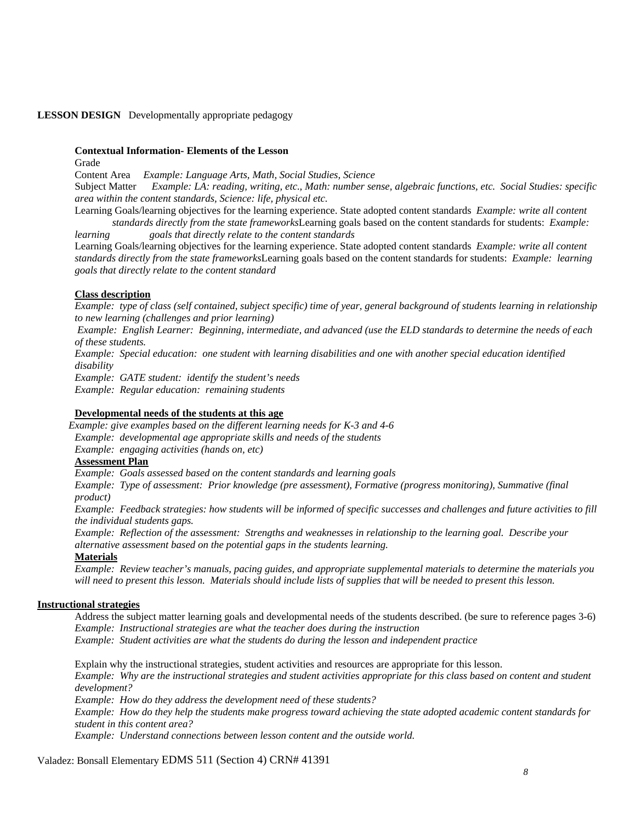## **LESSON DESIGN** Developmentally appropriate pedagogy

#### **Contextual Information- Elements of the Lesson**

Grade

Content Area *Example: Language Arts, Math, Social Studies, Science* 

**Subject Matter** Example: LA: reading, writing, etc., Math: number sense, algebraic functions, etc. Social Studies: specific *area within the content standards, Science: life, physical etc.* 

 *standards directly from the state frameworks*Learning goals based on the content standards for students: *Example:*  Learning Goals/learning objectives for the learning experience. State adopted content standards *Example: write all content* 

*learning learning goals that directly relate to the content standards*

 *standards directly from the state frameworks*Learning goals based on the content standards for students: *Example: learning*  Learning Goals/learning objectives for the learning experience. State adopted content standards *Example: write all content goals that directly relate to the content standard* 

## **Class description**

*Example: type of class (self contained, subject specific) time of year, general background of students learning in relationship to new learning (challenges and prior learning)*

 *Example: English Learner: Beginning, intermediate, and advanced (use the ELD standards to determine the needs of each of these students.* 

*Example: Special education: one student with learning disabilities and one with another special education identified disability* 

*Example: GATE student: identify the student's needs* 

*Example: Regular education: remaining students* 

#### **Developmental needs of the students at this age**

*Example: give examples based on the different learning needs for K-3 and 4-6 Example: developmental age appropriate skills and needs of the students* 

*Example: engaging activities (hands on, etc)*

#### **Assessment Plan**

 *Example: Goals assessed based on the content standards and learning goals* 

*Example: Type of assessment: Prior knowledge (pre assessment), Formative (progress monitoring), Summative (final product)* 

*Example: Feedback strategies: how students will be informed of specific successes and challenges and future activities to fill the individual students gaps.* 

*Example: Reflection of the assessment: Strengths and weaknesses in relationship to the learning goal. Describe your alternative assessment based on the potential gaps in the students learning.*

# **Materials**

 *Example: Review teacher's manuals, pacing guides, and appropriate supplemental materials to determine the materials you*  will need to present this lesson. Materials should include lists of supplies that will be needed to present this lesson.

#### **Instructional strategies**

 Address the subject matter learning goals and developmental needs of the students described. (be sure to reference pages 3-6)  *Example: Instructional strategies are what the teacher does during the instruction Example: Student activities are what the students do during the lesson and independent practice* 

 *Example: How do they help the students make progress toward achieving the state adopted academic content standards for* Explain why the instructional strategies, student activities and resources are appropriate for this lesson. *Example: Why are the instructional strategies and student activities appropriate for this class based on content and student development? Example: How do they address the development need of these students?* 

*student in this content area?*

 *Example: Understand connections between lesson content and the outside world.*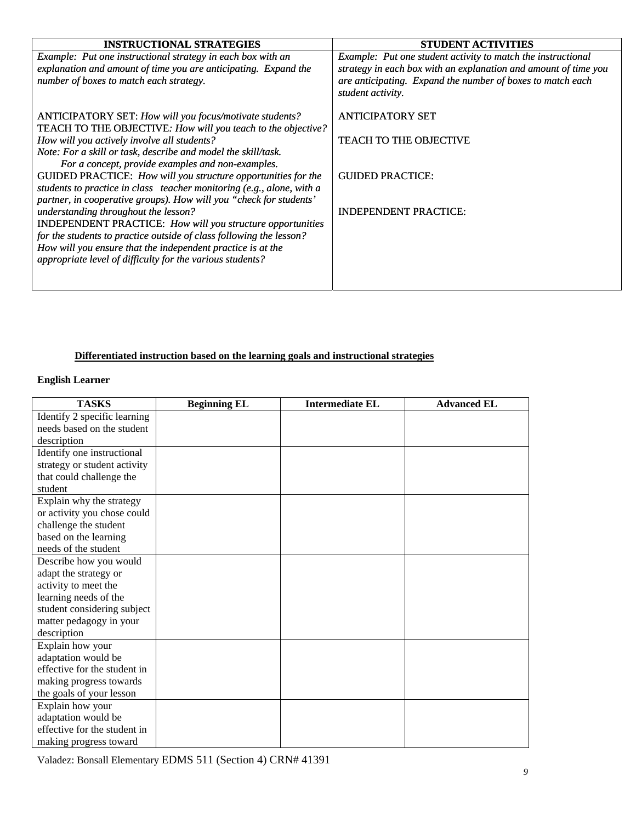| <b>INSTRUCTIONAL STRATEGIES</b>                                       | <b>STUDENT ACTIVITIES</b>                                                       |
|-----------------------------------------------------------------------|---------------------------------------------------------------------------------|
| Example: Put one instructional strategy in each box with an           | Example: Put one student activity to match the instructional                    |
| explanation and amount of time you are anticipating. Expand the       | strategy in each box with an explanation and amount of time you                 |
| number of boxes to match each strategy.                               | are anticipating. Expand the number of boxes to match each<br>student activity. |
| ANTICIPATORY SET: How will you focus/motivate students?               | <b>ANTICIPATORY SET</b>                                                         |
| TEACH TO THE OBJECTIVE: How will you teach to the objective?          |                                                                                 |
| How will you actively involve all students?                           | <b>TEACH TO THE OBJECTIVE</b>                                                   |
| Note: For a skill or task, describe and model the skill/task.         |                                                                                 |
| For a concept, provide examples and non-examples.                     |                                                                                 |
| GUIDED PRACTICE: How will you structure opportunities for the         | <b>GUIDED PRACTICE:</b>                                                         |
| students to practice in class teacher monitoring (e.g., alone, with a |                                                                                 |
| partner, in cooperative groups). How will you "check for students'    |                                                                                 |
| understanding throughout the lesson?                                  | <b>INDEPENDENT PRACTICE:</b>                                                    |
| <b>INDEPENDENT PRACTICE:</b> How will you structure opportunities     |                                                                                 |
| for the students to practice outside of class following the lesson?   |                                                                                 |
| How will you ensure that the independent practice is at the           |                                                                                 |
| appropriate level of difficulty for the various students?             |                                                                                 |
|                                                                       |                                                                                 |
|                                                                       |                                                                                 |

# **Differentiated instruction based on the learning goals and instructional strategies**

# **English Learner**

| <b>TASKS</b>                 | <b>Beginning EL</b> | <b>Intermediate EL</b> | <b>Advanced EL</b> |
|------------------------------|---------------------|------------------------|--------------------|
| Identify 2 specific learning |                     |                        |                    |
| needs based on the student   |                     |                        |                    |
| description                  |                     |                        |                    |
| Identify one instructional   |                     |                        |                    |
| strategy or student activity |                     |                        |                    |
| that could challenge the     |                     |                        |                    |
| student                      |                     |                        |                    |
| Explain why the strategy     |                     |                        |                    |
| or activity you chose could  |                     |                        |                    |
| challenge the student        |                     |                        |                    |
| based on the learning        |                     |                        |                    |
| needs of the student         |                     |                        |                    |
| Describe how you would       |                     |                        |                    |
| adapt the strategy or        |                     |                        |                    |
| activity to meet the         |                     |                        |                    |
| learning needs of the        |                     |                        |                    |
| student considering subject  |                     |                        |                    |
| matter pedagogy in your      |                     |                        |                    |
| description                  |                     |                        |                    |
| Explain how your             |                     |                        |                    |
| adaptation would be          |                     |                        |                    |
| effective for the student in |                     |                        |                    |
| making progress towards      |                     |                        |                    |
| the goals of your lesson     |                     |                        |                    |
| Explain how your             |                     |                        |                    |
| adaptation would be          |                     |                        |                    |
| effective for the student in |                     |                        |                    |
| making progress toward       |                     |                        |                    |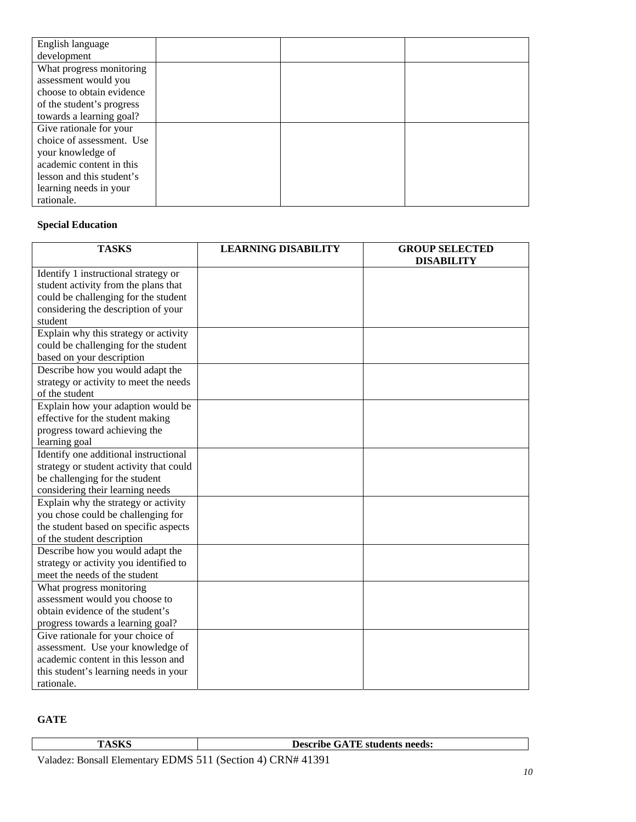| English language          |  |  |
|---------------------------|--|--|
| development               |  |  |
| What progress monitoring  |  |  |
| assessment would you      |  |  |
| choose to obtain evidence |  |  |
| of the student's progress |  |  |
| towards a learning goal?  |  |  |
| Give rationale for your   |  |  |
| choice of assessment. Use |  |  |
| your knowledge of         |  |  |
| academic content in this  |  |  |
| lesson and this student's |  |  |
| learning needs in your    |  |  |
| rationale.                |  |  |

# **Special Education**

| <b>TASKS</b>                            | <b>LEARNING DISABILITY</b> | <b>GROUP SELECTED</b><br><b>DISABILITY</b> |
|-----------------------------------------|----------------------------|--------------------------------------------|
| Identify 1 instructional strategy or    |                            |                                            |
| student activity from the plans that    |                            |                                            |
| could be challenging for the student    |                            |                                            |
| considering the description of your     |                            |                                            |
| student                                 |                            |                                            |
| Explain why this strategy or activity   |                            |                                            |
| could be challenging for the student    |                            |                                            |
| based on your description               |                            |                                            |
| Describe how you would adapt the        |                            |                                            |
| strategy or activity to meet the needs  |                            |                                            |
| of the student                          |                            |                                            |
| Explain how your adaption would be      |                            |                                            |
| effective for the student making        |                            |                                            |
| progress toward achieving the           |                            |                                            |
| learning goal                           |                            |                                            |
| Identify one additional instructional   |                            |                                            |
| strategy or student activity that could |                            |                                            |
| be challenging for the student          |                            |                                            |
| considering their learning needs        |                            |                                            |
| Explain why the strategy or activity    |                            |                                            |
| you chose could be challenging for      |                            |                                            |
| the student based on specific aspects   |                            |                                            |
| of the student description              |                            |                                            |
| Describe how you would adapt the        |                            |                                            |
| strategy or activity you identified to  |                            |                                            |
| meet the needs of the student           |                            |                                            |
| What progress monitoring                |                            |                                            |
| assessment would you choose to          |                            |                                            |
| obtain evidence of the student's        |                            |                                            |
| progress towards a learning goal?       |                            |                                            |
| Give rationale for your choice of       |                            |                                            |
| assessment. Use your knowledge of       |                            |                                            |
| academic content in this lesson and     |                            |                                            |
| this student's learning needs in your   |                            |                                            |
| rationale.                              |                            |                                            |

# **GATE**

|                                                                     | <b>Describe GATE students needs:</b> |
|---------------------------------------------------------------------|--------------------------------------|
| $\lambda$ ledez: Pencell Elementery EDMS 511 (Section A) CDN# 41201 |                                      |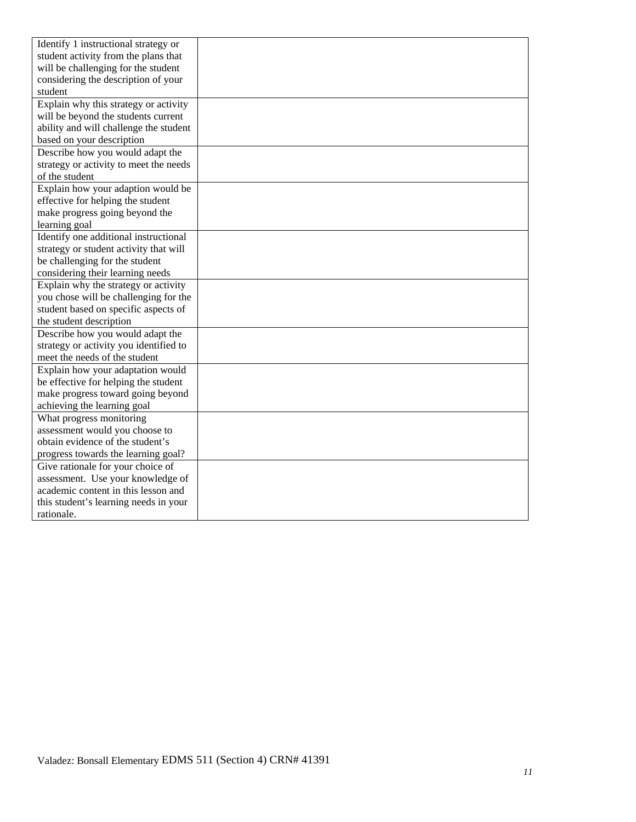| Identify 1 instructional strategy or   |  |
|----------------------------------------|--|
| student activity from the plans that   |  |
| will be challenging for the student    |  |
| considering the description of your    |  |
| student                                |  |
| Explain why this strategy or activity  |  |
| will be beyond the students current    |  |
| ability and will challenge the student |  |
| based on your description              |  |
| Describe how you would adapt the       |  |
| strategy or activity to meet the needs |  |
| of the student                         |  |
| Explain how your adaption would be     |  |
| effective for helping the student      |  |
| make progress going beyond the         |  |
| learning goal                          |  |
| Identify one additional instructional  |  |
| strategy or student activity that will |  |
| be challenging for the student         |  |
| considering their learning needs       |  |
| Explain why the strategy or activity   |  |
| you chose will be challenging for the  |  |
| student based on specific aspects of   |  |
| the student description                |  |
| Describe how you would adapt the       |  |
| strategy or activity you identified to |  |
| meet the needs of the student          |  |
| Explain how your adaptation would      |  |
| be effective for helping the student   |  |
| make progress toward going beyond      |  |
| achieving the learning goal            |  |
| What progress monitoring               |  |
| assessment would you choose to         |  |
| obtain evidence of the student's       |  |
| progress towards the learning goal?    |  |
| Give rationale for your choice of      |  |
| assessment. Use your knowledge of      |  |
| academic content in this lesson and    |  |
| this student's learning needs in your  |  |
| rationale.                             |  |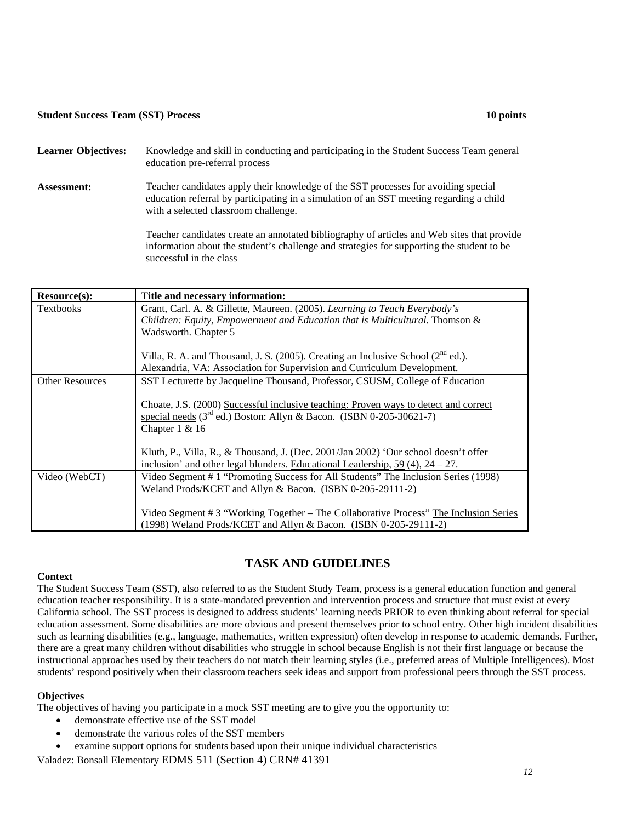## **• Student Success Team (SST) Process 10 points 10 points 10 points 10 points in the student of the student of the student of the student of the student of the student of the student of the student of the student of the s**

| <b>Learner Objectives:</b> | Knowledge and skill in conducting and participating in the Student Success Team general<br>education pre-referral process                                                                                             |
|----------------------------|-----------------------------------------------------------------------------------------------------------------------------------------------------------------------------------------------------------------------|
| Assessment:                | Teacher candidates apply their knowledge of the SST processes for avoiding special<br>education referral by participating in a simulation of an SST meeting regarding a child<br>with a selected classroom challenge. |
|                            | Teacher candidates create an annotated bibliography of articles and Web sites that provide<br>information about the student's challenge and strategies for supporting the student to be<br>successful in the class    |

| Resource(s):                                                                       | Title and necessary information:                                                             |
|------------------------------------------------------------------------------------|----------------------------------------------------------------------------------------------|
| <b>Textbooks</b>                                                                   | Grant, Carl. A. & Gillette, Maureen. (2005). Learning to Teach Everybody's                   |
|                                                                                    | Children: Equity, Empowerment and Education that is Multicultural. Thomson &                 |
|                                                                                    | Wadsworth. Chapter 5                                                                         |
|                                                                                    | Villa, R. A. and Thousand, J. S. (2005). Creating an Inclusive School (2 <sup>nd</sup> ed.). |
|                                                                                    | Alexandria, VA: Association for Supervision and Curriculum Development.                      |
| <b>Other Resources</b>                                                             | SST Lecturette by Jacqueline Thousand, Professor, CSUSM, College of Education                |
|                                                                                    | Choate, J.S. (2000) Successful inclusive teaching: Proven ways to detect and correct         |
|                                                                                    | special needs $(3^{rd}$ ed.) Boston: Allyn & Bacon. (ISBN 0-205-30621-7)                     |
|                                                                                    | Chapter $1 & 16$                                                                             |
|                                                                                    | Kluth, P., Villa, R., & Thousand, J. (Dec. 2001/Jan 2002) 'Our school doesn't offer          |
| inclusion' and other legal blunders. Educational Leadership, $59(4)$ , $24 - 27$ . |                                                                                              |
| Video (WebCT)                                                                      | Video Segment # 1 "Promoting Success for All Students" The Inclusion Series (1998)           |
|                                                                                    | Weland Prods/KCET and Allyn & Bacon. (ISBN 0-205-29111-2)                                    |
|                                                                                    | Video Segment # 3 "Working Together – The Collaborative Process" The Inclusion Series        |
|                                                                                    | (1998) Weland Prods/KCET and Allyn & Bacon. (ISBN 0-205-29111-2)                             |

# **TASK AND GUIDELINES**

## **Context**

 education teacher responsibility. It is a state-mandated prevention and intervention process and structure that must exist at every The Student Success Team (SST), also referred to as the Student Study Team, process is a general education function and general California school. The SST process is designed to address students' learning needs PRIOR to even thinking about referral for special education assessment. Some disabilities are more obvious and present themselves prior to school entry. Other high incident disabilities such as learning disabilities (e.g., language, mathematics, written expression) often develop in response to academic demands. Further, there are a great many children without disabilities who struggle in school because English is not their first language or because the instructional approaches used by their teachers do not match their learning styles (i.e., preferred areas of Multiple Intelligences). Most students' respond positively when their classroom teachers seek ideas and support from professional peers through the SST process.

## **Objectives**

The objectives of having you participate in a mock SST meeting are to give you the opportunity to:

- demonstrate effective use of the SST model
- demonstrate the various roles of the SST members
- examine support options for students based upon their unique individual characteristics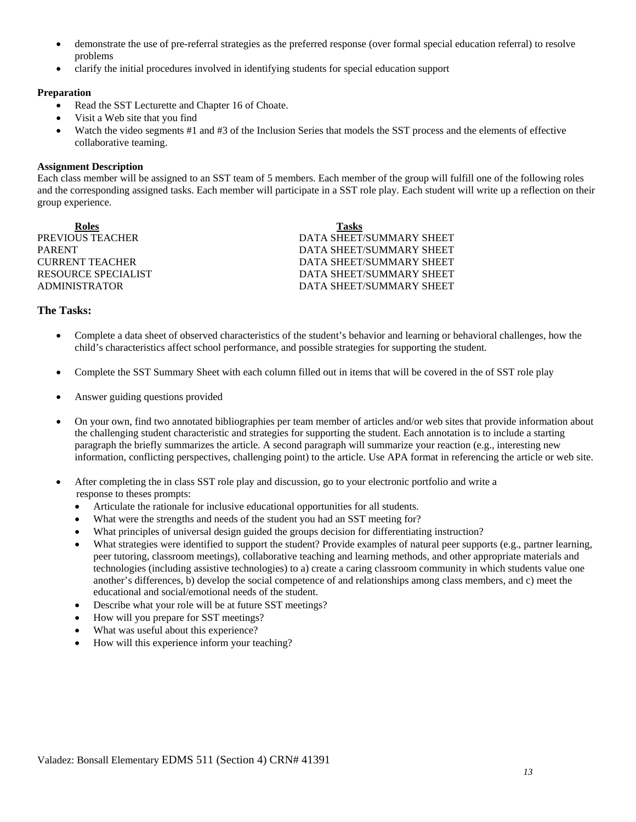- problems • demonstrate the use of pre-referral strategies as the preferred response (over formal special education referral) to resolve
- clarify the initial procedures involved in identifying students for special education support

## **Preparation**

- Read the SST Lecturette and Chapter 16 of Choate.
- Visit a Web site that you find
- Watch the video segments #1 and #3 of the Inclusion Series that models the SST process and the elements of effective collaborative teaming.

## **Assignment Description**

Each class member will be assigned to an SST team of 5 members. Each member of the group will fulfill one of the following roles and the corresponding assigned tasks. Each member will participate in a SST role play. Each student will write up a reflection on their group experience.

**CURRENT TEACHER Roles Tasks**  PREVIOUS TEACHER DATA SHEET/SUMMARY SHEET PARENT PARENT PARENT DATA SHEET/SUMMARY SHEET RESOURCE SPECIALIST DATA SHEET/SUMMARY SHEET ADMINISTRATOR DATA SHEET/SUMMARY SHEET

DATA SHEET/SUMMARY SHEET

## **The Tasks:**

- Complete a data sheet of observed characteristics of the student's behavior and learning or behavioral challenges, how the child's characteristics affect school performance, and possible strategies for supporting the student.
- Complete the SST Summary Sheet with each column filled out in items that will be covered in the of SST role play
- Answer guiding questions provided
- • On your own, find two annotated bibliographies per team member of articles and/or web sites that provide information about the challenging student characteristic and strategies for supporting the student. Each annotation is to include a starting paragraph the briefly summarizes the article. A second paragraph will summarize your reaction (e.g., interesting new information, conflicting perspectives, challenging point) to the article. Use APA format in referencing the article or web site.
- After completing the in class SST role play and discussion, go to your electronic portfolio and write a response to theses prompts:
	- • Articulate the rationale for inclusive educational opportunities for all students.
	- What were the strengths and needs of the student you had an SST meeting for?
	- What principles of universal design guided the groups decision for differentiating instruction?
	- What strategies were identified to support the student? Provide examples of natural peer supports (e.g., partner learning, peer tutoring, classroom meetings), collaborative teaching and learning methods, and other appropriate materials and technologies (including assistive technologies) to a) create a caring classroom community in which students value one another's differences, b) develop the social competence of and relationships among class members, and c) meet the educational and social/emotional needs of the student.
	- Describe what your role will be at future SST meetings?
	- How will you prepare for SST meetings?
	- What was useful about this experience?
	- How will this experience inform your teaching?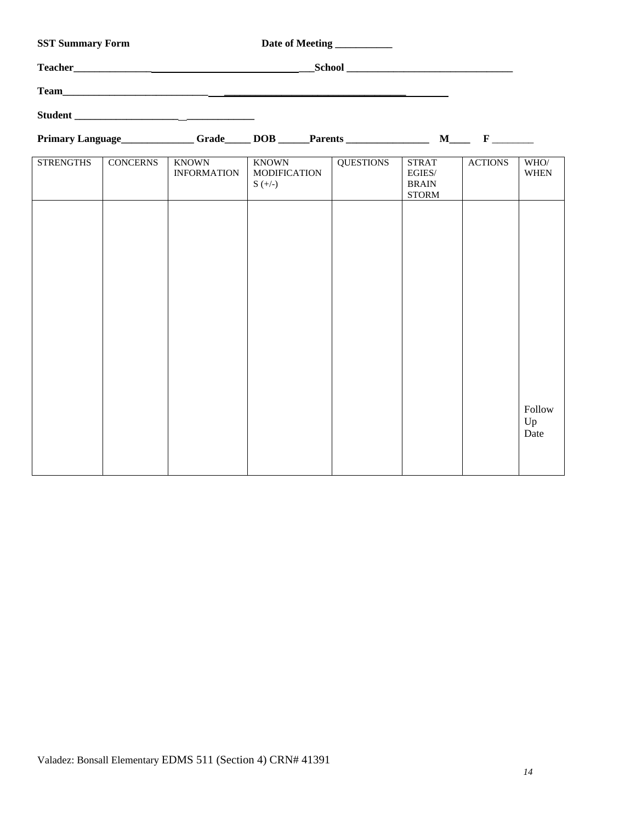|                  | <b>SST Summary Form</b><br>Date of Meeting ____________ |                                    |                                           |                  |                                                        |                |                      |
|------------------|---------------------------------------------------------|------------------------------------|-------------------------------------------|------------------|--------------------------------------------------------|----------------|----------------------|
|                  |                                                         |                                    |                                           |                  |                                                        |                |                      |
|                  |                                                         |                                    |                                           |                  |                                                        |                |                      |
|                  |                                                         |                                    |                                           |                  |                                                        |                |                      |
|                  |                                                         |                                    | Primary Language Grade DOB Parents M F    |                  |                                                        |                |                      |
| <b>STRENGTHS</b> | <b>CONCERNS</b>                                         | <b>KNOWN</b><br><b>INFORMATION</b> | KNOWN<br><b>MODIFICATION</b><br>$S (+/-)$ | <b>QUESTIONS</b> | <b>STRAT</b><br>EGIES/<br><b>BRAIN</b><br><b>STORM</b> | <b>ACTIONS</b> | WHO/<br><b>WHEN</b>  |
|                  |                                                         |                                    |                                           |                  |                                                        |                |                      |
|                  |                                                         |                                    |                                           |                  |                                                        |                |                      |
|                  |                                                         |                                    |                                           |                  |                                                        |                |                      |
|                  |                                                         |                                    |                                           |                  |                                                        |                |                      |
|                  |                                                         |                                    |                                           |                  |                                                        |                |                      |
|                  |                                                         |                                    |                                           |                  |                                                        |                |                      |
|                  |                                                         |                                    |                                           |                  |                                                        |                | Follow<br>Up<br>Date |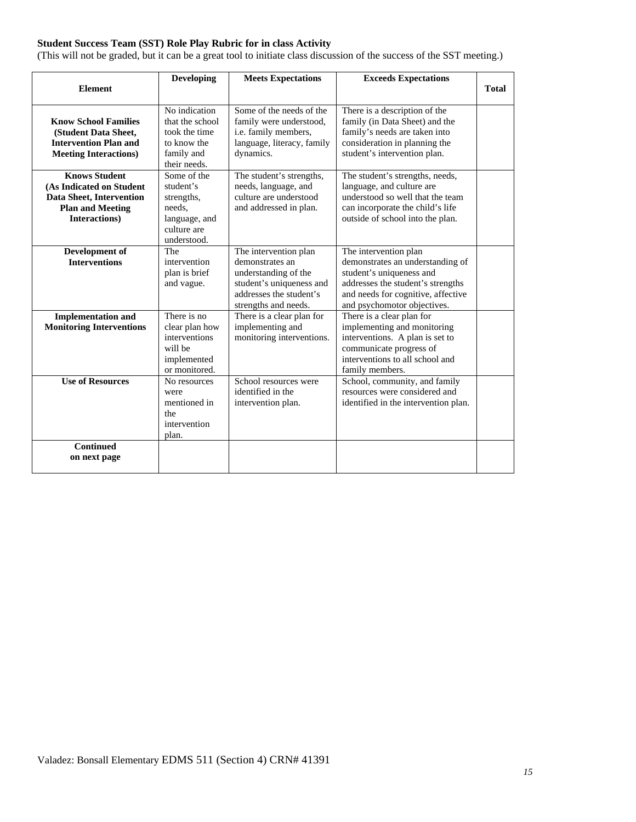# **Student Success Team (SST) Role Play Rubric for in class Activity**

(This will not be graded, but it can be a great tool to initiate class discussion of the success of the SST meeting.)

|                                                                                                                          | <b>Developing</b>                                                                               | <b>Meets Expectations</b>                                                                                                                       | <b>Exceeds Expectations</b>                                                                                                                                                                     |              |
|--------------------------------------------------------------------------------------------------------------------------|-------------------------------------------------------------------------------------------------|-------------------------------------------------------------------------------------------------------------------------------------------------|-------------------------------------------------------------------------------------------------------------------------------------------------------------------------------------------------|--------------|
| <b>Element</b>                                                                                                           |                                                                                                 |                                                                                                                                                 |                                                                                                                                                                                                 | <b>Total</b> |
| <b>Know School Families</b><br>(Student Data Sheet,<br><b>Intervention Plan and</b><br><b>Meeting Interactions)</b>      | No indication<br>that the school<br>took the time<br>to know the<br>family and<br>their needs.  | Some of the needs of the<br>family were understood,<br>i.e. family members,<br>language, literacy, family<br>dynamics.                          | There is a description of the<br>family (in Data Sheet) and the<br>family's needs are taken into<br>consideration in planning the<br>student's intervention plan.                               |              |
| <b>Knows Student</b><br>(As Indicated on Student<br>Data Sheet, Intervention<br><b>Plan and Meeting</b><br>Interactions) | Some of the<br>student's<br>strengths,<br>needs.<br>language, and<br>culture are<br>understood. | The student's strengths,<br>needs, language, and<br>culture are understood<br>and addressed in plan.                                            | The student's strengths, needs,<br>language, and culture are<br>understood so well that the team<br>can incorporate the child's life<br>outside of school into the plan.                        |              |
| Development of<br><b>Interventions</b>                                                                                   | The<br>intervention<br>plan is brief<br>and vague.                                              | The intervention plan<br>demonstrates an<br>understanding of the<br>student's uniqueness and<br>addresses the student's<br>strengths and needs. | The intervention plan<br>demonstrates an understanding of<br>student's uniqueness and<br>addresses the student's strengths<br>and needs for cognitive, affective<br>and psychomotor objectives. |              |
| <b>Implementation and</b><br><b>Monitoring Interventions</b>                                                             | There is no<br>clear plan how<br>interventions<br>will be<br>implemented<br>or monitored.       | There is a clear plan for<br>implementing and<br>monitoring interventions.                                                                      | There is a clear plan for<br>implementing and monitoring<br>interventions. A plan is set to<br>communicate progress of<br>interventions to all school and<br>family members.                    |              |
| <b>Use of Resources</b>                                                                                                  | No resources<br>were<br>mentioned in<br>the<br>intervention<br>plan.                            | School resources were<br>identified in the<br>intervention plan.                                                                                | School, community, and family<br>resources were considered and<br>identified in the intervention plan.                                                                                          |              |
| <b>Continued</b><br>on next page                                                                                         |                                                                                                 |                                                                                                                                                 |                                                                                                                                                                                                 |              |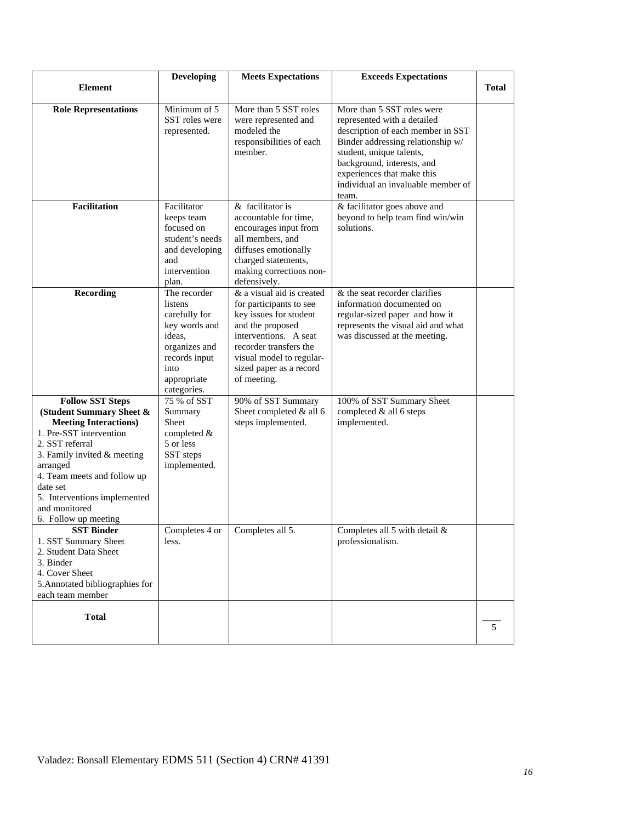|                                                                                                                                                                                                                                                                                                    | <b>Developing</b>                                                                                                                           | <b>Meets Expectations</b>                                                                                                                                                                                                   | <b>Exceeds Expectations</b>                                                                                                                                                                                                                                                |              |
|----------------------------------------------------------------------------------------------------------------------------------------------------------------------------------------------------------------------------------------------------------------------------------------------------|---------------------------------------------------------------------------------------------------------------------------------------------|-----------------------------------------------------------------------------------------------------------------------------------------------------------------------------------------------------------------------------|----------------------------------------------------------------------------------------------------------------------------------------------------------------------------------------------------------------------------------------------------------------------------|--------------|
| <b>Element</b>                                                                                                                                                                                                                                                                                     |                                                                                                                                             |                                                                                                                                                                                                                             |                                                                                                                                                                                                                                                                            | <b>Total</b> |
| <b>Role Representations</b>                                                                                                                                                                                                                                                                        | Minimum of 5<br>SST roles were<br>represented.                                                                                              | More than 5 SST roles<br>were represented and<br>modeled the<br>responsibilities of each<br>member.                                                                                                                         | More than 5 SST roles were<br>represented with a detailed<br>description of each member in SST<br>Binder addressing relationship w/<br>student, unique talents,<br>background, interests, and<br>experiences that make this<br>individual an invaluable member of<br>team. |              |
| <b>Facilitation</b>                                                                                                                                                                                                                                                                                | Facilitator<br>keeps team<br>focused on<br>student's needs<br>and developing<br>and<br>intervention<br>plan.                                | & facilitator is<br>accountable for time,<br>encourages input from<br>all members, and<br>diffuses emotionally<br>charged statements,<br>making corrections non-<br>defensively.                                            | & facilitator goes above and<br>beyond to help team find win/win<br>solutions.                                                                                                                                                                                             |              |
| <b>Recording</b>                                                                                                                                                                                                                                                                                   | The recorder<br>listens<br>carefully for<br>key words and<br>ideas,<br>organizes and<br>records input<br>into<br>appropriate<br>categories. | & a visual aid is created<br>for participants to see<br>key issues for student<br>and the proposed<br>interventions. A seat<br>recorder transfers the<br>visual model to regular-<br>sized paper as a record<br>of meeting. | & the seat recorder clarifies<br>information documented on<br>regular-sized paper and how it<br>represents the visual aid and what<br>was discussed at the meeting.                                                                                                        |              |
| <b>Follow SST Steps</b><br>(Student Summary Sheet &<br><b>Meeting Interactions)</b><br>1. Pre-SST intervention<br>2. SST referral<br>3. Family invited $&$ meeting<br>arranged<br>4. Team meets and follow up<br>date set<br>5. Interventions implemented<br>and monitored<br>6. Follow up meeting | 75 % of SST<br>Summary<br>Sheet<br>completed &<br>5 or less<br>SST steps<br>implemented.                                                    | 90% of SST Summary<br>Sheet completed & all 6<br>steps implemented.                                                                                                                                                         | 100% of SST Summary Sheet<br>completed & all 6 steps<br>implemented.                                                                                                                                                                                                       |              |
| <b>SST Binder</b><br>1. SST Summary Sheet<br>2. Student Data Sheet<br>3. Binder<br>4. Cover Sheet<br>5. Annotated bibliographies for<br>each team member                                                                                                                                           | Completes 4 or<br>less.                                                                                                                     | Completes all 5.                                                                                                                                                                                                            | Completes all 5 with detail $\&$<br>professionalism.                                                                                                                                                                                                                       |              |
| <b>Total</b>                                                                                                                                                                                                                                                                                       |                                                                                                                                             |                                                                                                                                                                                                                             |                                                                                                                                                                                                                                                                            | 5            |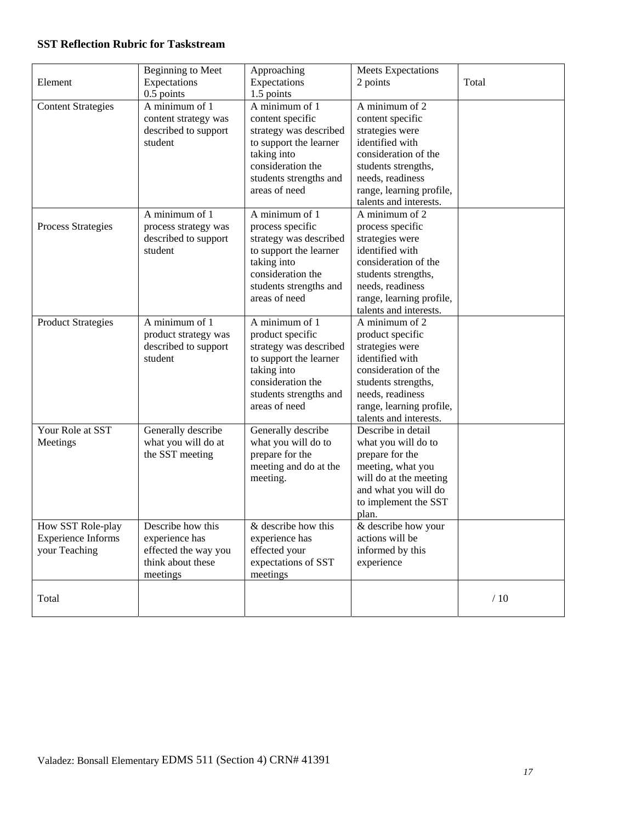# **SST Reflection Rubric for Taskstream**

| Element                   | <b>Beginning to Meet</b><br>Expectations | Approaching<br>Expectations                      | Meets Expectations<br>2 points           | Total   |
|---------------------------|------------------------------------------|--------------------------------------------------|------------------------------------------|---------|
|                           | $0.5$ points                             | 1.5 points                                       |                                          |         |
| <b>Content Strategies</b> | A minimum of 1                           | A minimum of 1                                   | A minimum of 2                           |         |
|                           | content strategy was                     | content specific                                 | content specific                         |         |
|                           | described to support                     | strategy was described                           | strategies were                          |         |
|                           | student                                  | to support the learner                           | identified with                          |         |
|                           |                                          | taking into                                      | consideration of the                     |         |
|                           |                                          | consideration the                                | students strengths,                      |         |
|                           |                                          | students strengths and                           | needs, readiness                         |         |
|                           |                                          | areas of need                                    | range, learning profile,                 |         |
|                           |                                          |                                                  | talents and interests.<br>A minimum of 2 |         |
|                           | A minimum of 1                           | A minimum of 1                                   |                                          |         |
| Process Strategies        | process strategy was                     | process specific                                 | process specific                         |         |
|                           | described to support<br>student          | strategy was described<br>to support the learner | strategies were<br>identified with       |         |
|                           |                                          | taking into                                      | consideration of the                     |         |
|                           |                                          | consideration the                                | students strengths,                      |         |
|                           |                                          | students strengths and                           | needs, readiness                         |         |
|                           |                                          | areas of need                                    | range, learning profile,                 |         |
|                           |                                          |                                                  | talents and interests.                   |         |
| <b>Product Strategies</b> | A minimum of 1                           | A minimum of 1                                   | A minimum of 2                           |         |
|                           | product strategy was                     | product specific                                 | product specific                         |         |
|                           | described to support                     | strategy was described                           | strategies were                          |         |
|                           | student                                  | to support the learner                           | identified with                          |         |
|                           |                                          | taking into                                      | consideration of the                     |         |
|                           |                                          | consideration the                                | students strengths,                      |         |
|                           |                                          | students strengths and                           | needs, readiness                         |         |
|                           |                                          | areas of need                                    | range, learning profile,                 |         |
|                           |                                          |                                                  | talents and interests.                   |         |
| Your Role at SST          | Generally describe                       | Generally describe                               | Describe in detail                       |         |
| Meetings                  | what you will do at                      | what you will do to                              | what you will do to                      |         |
|                           | the SST meeting                          | prepare for the                                  | prepare for the                          |         |
|                           |                                          | meeting and do at the                            | meeting, what you                        |         |
|                           |                                          | meeting.                                         | will do at the meeting                   |         |
|                           |                                          |                                                  | and what you will do                     |         |
|                           |                                          |                                                  | to implement the SST                     |         |
|                           |                                          |                                                  | plan.                                    |         |
| How SST Role-play         | Describe how this                        | & describe how this                              | & describe how your                      |         |
| <b>Experience Informs</b> | experience has                           | experience has                                   | actions will be                          |         |
| your Teaching             | effected the way you                     | effected your                                    | informed by this                         |         |
|                           | think about these                        | expectations of SST                              | experience                               |         |
|                           | meetings                                 | meetings                                         |                                          |         |
| Total                     |                                          |                                                  |                                          | $\!$ 10 |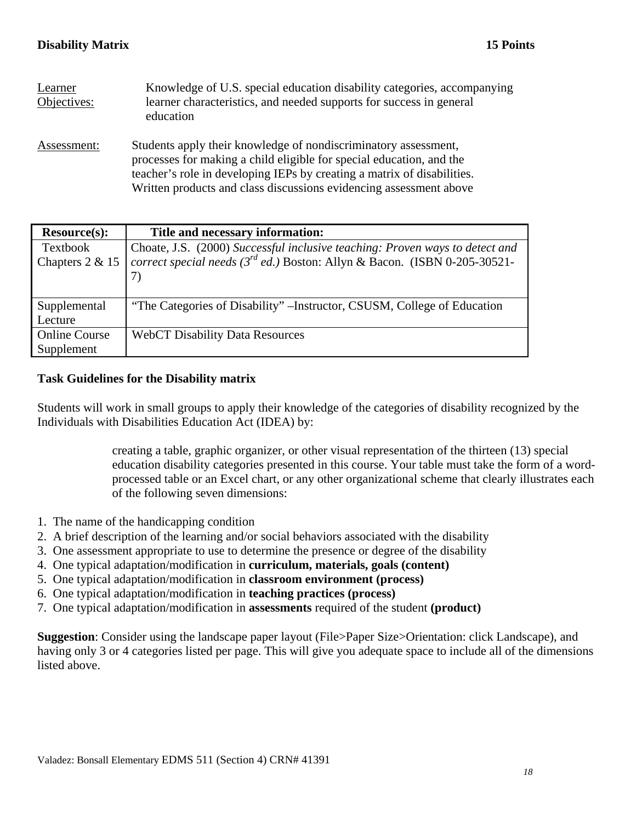| Learner<br>Objectives: | Knowledge of U.S. special education disability categories, accompanying<br>learner characteristics, and needed supports for success in general<br>education                                                                                                                              |
|------------------------|------------------------------------------------------------------------------------------------------------------------------------------------------------------------------------------------------------------------------------------------------------------------------------------|
| Assessment:            | Students apply their knowledge of nondiscriminatory assessment,<br>processes for making a child eligible for special education, and the<br>teacher's role in developing IEPs by creating a matrix of disabilities.<br>Written products and class discussions evidencing assessment above |

| <b>Resource(s):</b>  | Title and necessary information:                                                |
|----------------------|---------------------------------------------------------------------------------|
| <b>Textbook</b>      | Choate, J.S. (2000) Successful inclusive teaching: Proven ways to detect and    |
| Chapters 2 & 15      | correct special needs ( $3^{rd}$ ed.) Boston: Allyn & Bacon. (ISBN 0-205-30521- |
|                      |                                                                                 |
|                      |                                                                                 |
| Supplemental         | "The Categories of Disability" – Instructor, CSUSM, College of Education        |
| Lecture              |                                                                                 |
| <b>Online Course</b> | <b>WebCT Disability Data Resources</b>                                          |
| Supplement           |                                                                                 |

# **Task Guidelines for the Disability matrix**

Students will work in small groups to apply their knowledge of the categories of disability recognized by the Individuals with Disabilities Education Act (IDEA) by:

> creating a table, graphic organizer, or other visual representation of the thirteen (13) special education disability categories presented in this course. Your table must take the form of a wordprocessed table or an Excel chart, or any other organizational scheme that clearly illustrates each of the following seven dimensions:

- 1. The name of the handicapping condition
- 2. A brief description of the learning and/or social behaviors associated with the disability
- 3. One assessment appropriate to use to determine the presence or degree of the disability
- 4. One typical adaptation/modification in **curriculum, materials, goals (content)**
- 5. One typical adaptation/modification in **classroom environment (process)**
- 6. One typical adaptation/modification in **teaching practices (process)**
- 7. One typical adaptation/modification in **assessments** required of the student **(product)**

**Suggestion**: Consider using the landscape paper layout (File>Paper Size>Orientation: click Landscape), and having only 3 or 4 categories listed per page. This will give you adequate space to include all of the dimensions listed above.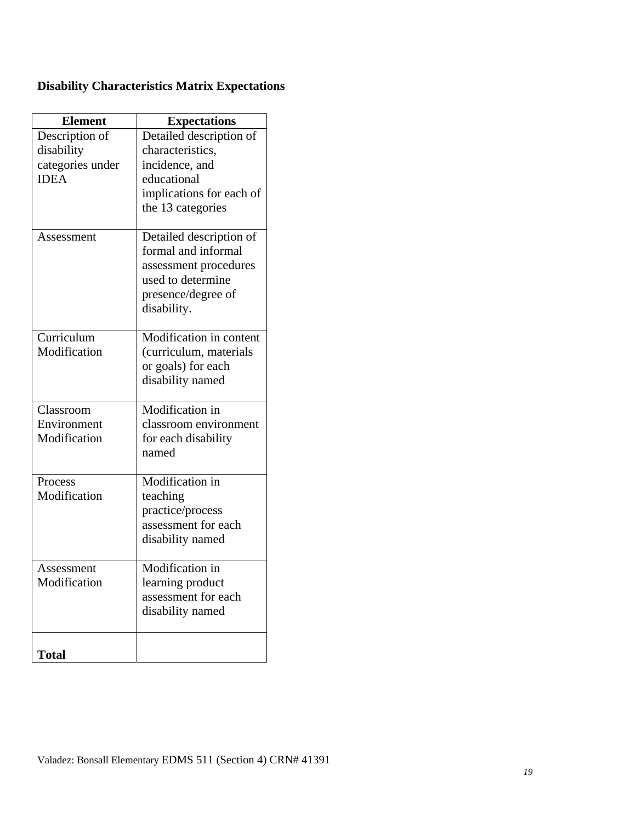|  | <b>Disability Characteristics Matrix Expectations</b> |  |  |
|--|-------------------------------------------------------|--|--|
|--|-------------------------------------------------------|--|--|

| <b>Element</b>   | <b>Expectations</b>      |
|------------------|--------------------------|
| Description of   | Detailed description of  |
| disability       | characteristics,         |
| categories under | incidence, and           |
| <b>IDEA</b>      | educational              |
|                  | implications for each of |
|                  | the 13 categories        |
| Assessment       | Detailed description of  |
|                  | formal and informal      |
|                  | assessment procedures    |
|                  | used to determine        |
|                  | presence/degree of       |
|                  | disability.              |
| Curriculum       | Modification in content  |
| Modification     | (curriculum, materials   |
|                  | or goals) for each       |
|                  | disability named         |
|                  |                          |
| Classroom        | Modification in          |
| Environment      | classroom environment    |
| Modification     | for each disability      |
|                  | named                    |
| Process          | Modification in          |
| Modification     | teaching                 |
|                  | practice/process         |
|                  | assessment for each      |
|                  | disability named         |
| Assessment       | Modification in          |
| Modification     | learning product         |
|                  | assessment for each      |
|                  | disability named         |
| <b>Total</b>     |                          |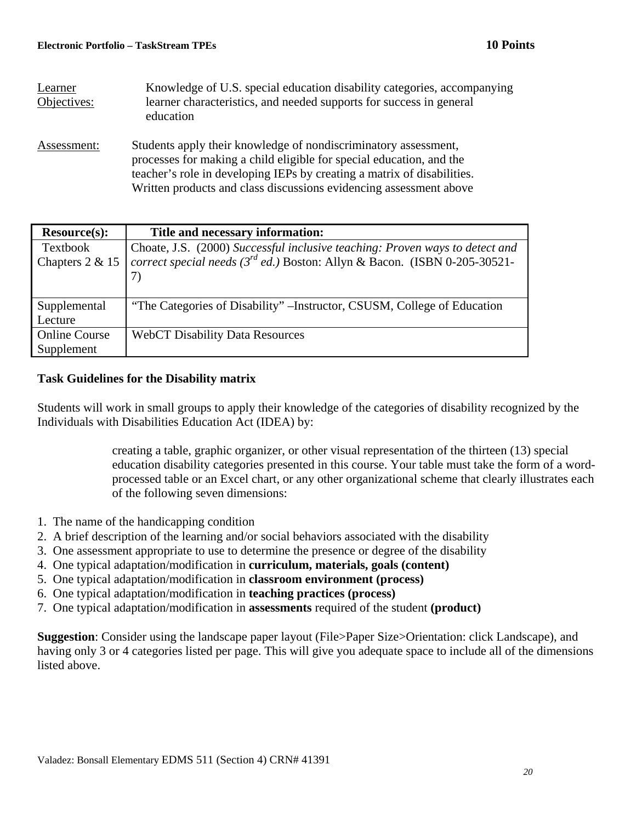| Learner<br>Objectives: | Knowledge of U.S. special education disability categories, accompanying<br>learner characteristics, and needed supports for success in general<br>education                                                                                                                              |
|------------------------|------------------------------------------------------------------------------------------------------------------------------------------------------------------------------------------------------------------------------------------------------------------------------------------|
| Assessment:            | Students apply their knowledge of nondiscriminatory assessment,<br>processes for making a child eligible for special education, and the<br>teacher's role in developing IEPs by creating a matrix of disabilities.<br>Written products and class discussions evidencing assessment above |

| <b>Resource(s):</b>  | Title and necessary information:                                                |
|----------------------|---------------------------------------------------------------------------------|
| Textbook             | Choate, J.S. (2000) Successful inclusive teaching: Proven ways to detect and    |
| Chapters 2 & 15      | correct special needs ( $3^{rd}$ ed.) Boston: Allyn & Bacon. (ISBN 0-205-30521- |
|                      |                                                                                 |
|                      |                                                                                 |
| Supplemental         | "The Categories of Disability" – Instructor, CSUSM, College of Education        |
| Lecture              |                                                                                 |
| <b>Online Course</b> | <b>WebCT Disability Data Resources</b>                                          |
| Supplement           |                                                                                 |

# **Task Guidelines for the Disability matrix**

Students will work in small groups to apply their knowledge of the categories of disability recognized by the Individuals with Disabilities Education Act (IDEA) by:

> creating a table, graphic organizer, or other visual representation of the thirteen (13) special education disability categories presented in this course. Your table must take the form of a wordprocessed table or an Excel chart, or any other organizational scheme that clearly illustrates each of the following seven dimensions:

- 1. The name of the handicapping condition
- 2. A brief description of the learning and/or social behaviors associated with the disability
- 3. One assessment appropriate to use to determine the presence or degree of the disability
- 4. One typical adaptation/modification in **curriculum, materials, goals (content)**
- 5. One typical adaptation/modification in **classroom environment (process)**
- 6. One typical adaptation/modification in **teaching practices (process)**
- 7. One typical adaptation/modification in **assessments** required of the student **(product)**

**Suggestion**: Consider using the landscape paper layout (File>Paper Size>Orientation: click Landscape), and having only 3 or 4 categories listed per page. This will give you adequate space to include all of the dimensions listed above.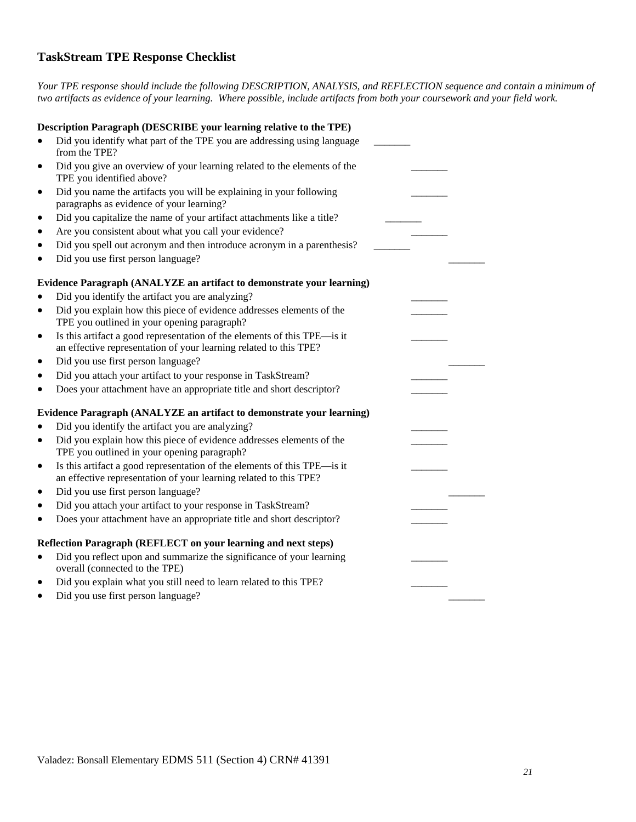# **TaskStream TPE Response Checklist**

*Your TPE response should include the following DESCRIPTION, ANALYSIS, and REFLECTION sequence and contain a minimum of two artifacts as evidence of your learning. Where possible, include artifacts from both your coursework and your field work.* 

|           | Description Paragraph (DESCRIBE your learning relative to the TPE)       |  |
|-----------|--------------------------------------------------------------------------|--|
|           | Did you identify what part of the TPE you are addressing using language  |  |
|           | from the TPE?                                                            |  |
| $\bullet$ | Did you give an overview of your learning related to the elements of the |  |
|           | TPE you identified above?                                                |  |
| ٠         | Did you name the artifacts you will be explaining in your following      |  |
|           | paragraphs as evidence of your learning?                                 |  |
| ٠         | Did you capitalize the name of your artifact attachments like a title?   |  |
|           | Are you consistent about what you call your evidence?                    |  |
|           | Did you spell out acronym and then introduce acronym in a parenthesis?   |  |
|           | Did you use first person language?                                       |  |
|           | Evidence Paragraph (ANALYZE an artifact to demonstrate your learning)    |  |
|           | Did you identify the artifact you are analyzing?                         |  |
|           | Did you explain how this piece of evidence addresses elements of the     |  |
|           | TPE you outlined in your opening paragraph?                              |  |
| $\bullet$ | Is this artifact a good representation of the elements of this TPE—is it |  |
|           | an effective representation of your learning related to this TPE?        |  |
| $\bullet$ | Did you use first person language?                                       |  |
|           | Did you attach your artifact to your response in TaskStream?             |  |
|           | Does your attachment have an appropriate title and short descriptor?     |  |
|           | Evidence Paragraph (ANALYZE an artifact to demonstrate your learning)    |  |
|           | Did you identify the artifact you are analyzing?                         |  |
| $\bullet$ | Did you explain how this piece of evidence addresses elements of the     |  |
|           | TPE you outlined in your opening paragraph?                              |  |
| $\bullet$ | Is this artifact a good representation of the elements of this TPE-is it |  |
|           | an effective representation of your learning related to this TPE?        |  |
| ٠         | Did you use first person language?                                       |  |
| $\bullet$ | Did you attach your artifact to your response in TaskStream?             |  |
| $\bullet$ | Does your attachment have an appropriate title and short descriptor?     |  |
|           | Reflection Paragraph (REFLECT on your learning and next steps)           |  |
| $\bullet$ | Did you reflect upon and summarize the significance of your learning     |  |
|           | overall (connected to the TPE)                                           |  |
| ٠         | Did you explain what you still need to learn related to this TPE?        |  |
|           | Did you use first person language?                                       |  |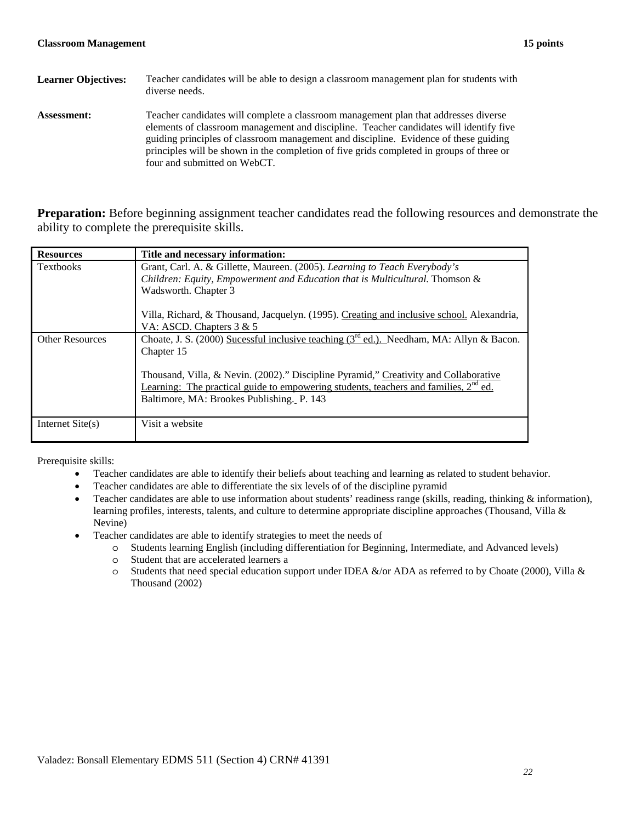| <b>Learner Objectives:</b> | Teacher candidates will be able to design a classroom management plan for students with<br>diverse needs.                                                                                                                                                                                                                                                                                         |
|----------------------------|---------------------------------------------------------------------------------------------------------------------------------------------------------------------------------------------------------------------------------------------------------------------------------------------------------------------------------------------------------------------------------------------------|
| <b>Assessment:</b>         | Teacher candidates will complete a classroom management plan that addresses diverse<br>elements of classroom management and discipline. Teacher candidates will identify five<br>guiding principles of classroom management and discipline. Evidence of these guiding<br>principles will be shown in the completion of five grids completed in groups of three or<br>four and submitted on WebCT. |

**Preparation:** Before beginning assignment teacher candidates read the following resources and demonstrate the ability to complete the prerequisite skills.

| <b>Resources</b>       | Title and necessary information:                                                                                                                                               |
|------------------------|--------------------------------------------------------------------------------------------------------------------------------------------------------------------------------|
| <b>Textbooks</b>       | Grant, Carl. A. & Gillette, Maureen. (2005). Learning to Teach Everybody's                                                                                                     |
|                        | Children: Equity, Empowerment and Education that is Multicultural. Thomson &                                                                                                   |
|                        | Wadsworth. Chapter 3                                                                                                                                                           |
|                        | Villa, Richard, & Thousand, Jacquelyn. (1995). Creating and inclusive school. Alexandria,<br>VA: ASCD. Chapters 3 & 5                                                          |
| <b>Other Resources</b> | Choate, J. S. (2000) Sucessful inclusive teaching $(3rd$ ed.). Needham, MA: Allyn & Bacon.                                                                                     |
|                        | Chapter 15                                                                                                                                                                     |
|                        | Thousand, Villa, & Nevin. (2002)." Discipline Pyramid," Creativity and Collaborative<br>Learning: The practical guide to empowering students, teachers and families, $2nd$ ed. |
|                        | Baltimore, MA: Brookes Publishing. P. 143                                                                                                                                      |
| Internet $Site(s)$     | Visit a website                                                                                                                                                                |

Prerequisite skills:

- Teacher candidates are able to identify their beliefs about teaching and learning as related to student behavior.
- Teacher candidates are able to differentiate the six levels of of the discipline pyramid
- Teacher candidates are able to use information about students' readiness range (skills, reading, thinking  $\&$  information), learning profiles, interests, talents, and culture to determine appropriate discipline approaches (Thousand, Villa & Nevine)
- Teacher candidates are able to identify strategies to meet the needs of
	- o Students learning English (including differentiation for Beginning, Intermediate, and Advanced levels)
	- o Student that are accelerated learners a
	- $\circ$  Students that need special education support under IDEA &/or ADA as referred to by Choate (2000), Villa & Thousand (2002)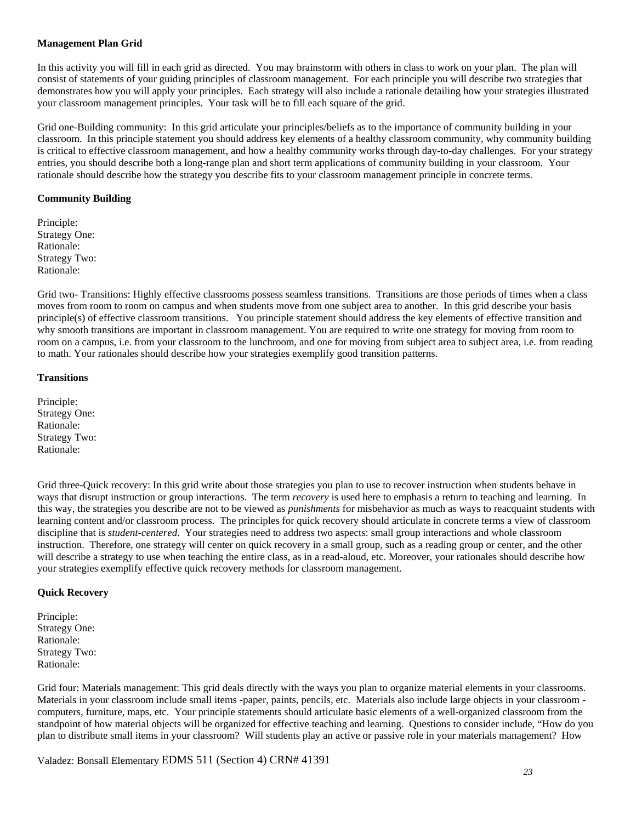## **Management Plan Grid**

In this activity you will fill in each grid as directed. You may brainstorm with others in class to work on your plan. The plan will consist of statements of your guiding principles of classroom management. For each principle you will describe two strategies that demonstrates how you will apply your principles. Each strategy will also include a rationale detailing how your strategies illustrated your classroom management principles. Your task will be to fill each square of the grid.

 entries, you should describe both a long-range plan and short term applications of community building in your classroom. Your rationale should describe how the strategy you describe fits to your classroom management principle in concrete terms. Grid one-Building community: In this grid articulate your principles/beliefs as to the importance of community building in your classroom. In this principle statement you should address key elements of a healthy classroom community, why community building is critical to effective classroom management, and how a healthy community works through day-to-day challenges. For your strategy

## **Community Building**

Principle: Strategy One: Rationale: Strategy Two: Rationale:

 moves from room to room on campus and when students move from one subject area to another. In this grid describe your basis principle(s) of effective classroom transitions. You principle statement should address the key elements of effective transition and Grid two- Transitions: Highly effective classrooms possess seamless transitions. Transitions are those periods of times when a class why smooth transitions are important in classroom management. You are required to write one strategy for moving from room to room on a campus, i.e. from your classroom to the lunchroom, and one for moving from subject area to subject area, i.e. from reading to math. Your rationales should describe how your strategies exemplify good transition patterns.

## **Transitions**

Principle: Strategy One: Rationale: Strategy Two: Rationale:

 this way, the strategies you describe are not to be viewed as *punishments* for misbehavior as much as ways to reacquaint students with discipline that is *student-centered*. Your strategies need to address two aspects: small group interactions and whole classroom Grid three-Quick recovery: In this grid write about those strategies you plan to use to recover instruction when students behave in ways that disrupt instruction or group interactions. The term *recovery* is used here to emphasis a return to teaching and learning. In learning content and/or classroom process. The principles for quick recovery should articulate in concrete terms a view of classroom instruction. Therefore, one strategy will center on quick recovery in a small group, such as a reading group or center, and the other will describe a strategy to use when teaching the entire class, as in a read-aloud, etc. Moreover, your rationales should describe how your strategies exemplify effective quick recovery methods for classroom management.

#### **Quick Recovery**

Principle: Strategy One: Rationale: Strategy Two: Rationale:

Grid four: Materials management: This grid deals directly with the ways you plan to organize material elements in your classrooms. plan to distribute small items in your classroom? Will students play an active or passive role in your materials management? How Materials in your classroom include small items -paper, paints, pencils, etc. Materials also include large objects in your classroom computers, furniture, maps, etc. Your principle statements should articulate basic elements of a well-organized classroom from the standpoint of how material objects will be organized for effective teaching and learning. Questions to consider include, "How do you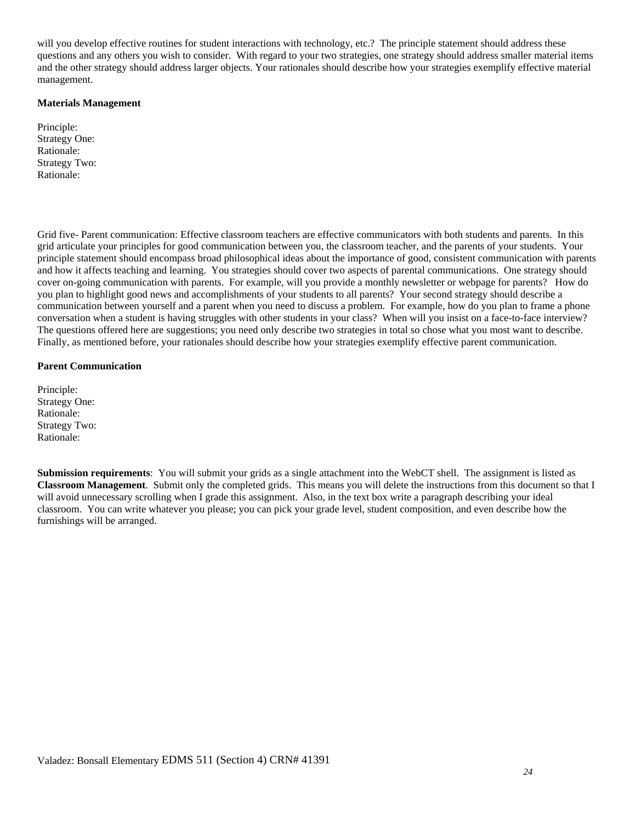will you develop effective routines for student interactions with technology, etc.? The principle statement should address these questions and any others you wish to consider. With regard to your two strategies, one strategy should address smaller material items and the other strategy should address larger objects. Your rationales should describe how your strategies exemplify effective material management.

#### **Materials Management**

Principle: Strategy One: Rationale: Strategy Two: Rationale:

 grid articulate your principles for good communication between you, the classroom teacher, and the parents of your students. Your cover on-going communication with parents. For example, will you provide a monthly newsletter or webpage for parents? How do you plan to highlight good news and accomplishments of your students to all parents? Your second strategy should describe a communication between yourself and a parent when you need to discuss a problem. For example, how do you plan to frame a phone conversation when a student is having struggles with other students in your class? When will you insist on a face-to-face interview? The questions offered here are suggestions; you need only describe two strategies in total so chose what you most want to describe.<br>Finally, as mentioned before, your rationales should describe how your strategies exemplif Grid five- Parent communication: Effective classroom teachers are effective communicators with both students and parents. In this principle statement should encompass broad philosophical ideas about the importance of good, consistent communication with parents and how it affects teaching and learning. You strategies should cover two aspects of parental communications. One strategy should

## **Parent Communication**

Principle: Strategy One: Rationale: Strategy Two: Rationale:

 classroom. You can write whatever you please; you can pick your grade level, student composition, and even describe how the furnishings will be arranged. **Submission requirements**: You will submit your grids as a single attachment into the WebCT shell. The assignment is listed as **Classroom Management**. Submit only the completed grids. This means you will delete the instructions from this document so that I will avoid unnecessary scrolling when I grade this assignment. Also, in the text box write a paragraph describing your ideal